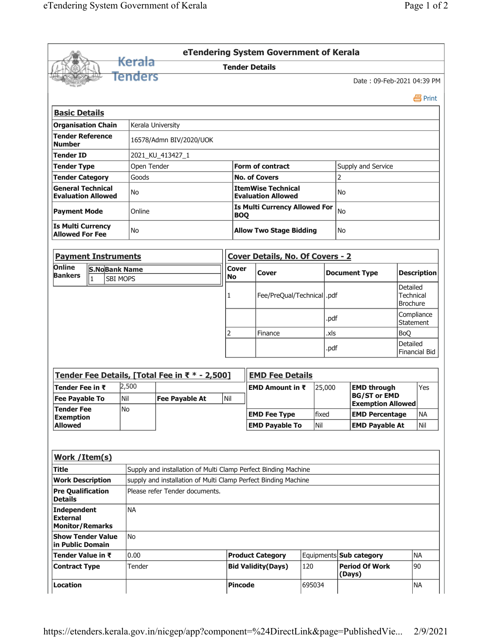|                                                          |                            |                   |                                                                                                  |              | eTendering System Government of Kerala                 |       |                         |                                                 |                           |                                                 |  |
|----------------------------------------------------------|----------------------------|-------------------|--------------------------------------------------------------------------------------------------|--------------|--------------------------------------------------------|-------|-------------------------|-------------------------------------------------|---------------------------|-------------------------------------------------|--|
|                                                          |                            | <del>Kerala</del> |                                                                                                  |              | <b>Tender Details</b>                                  |       |                         |                                                 |                           |                                                 |  |
|                                                          |                            | Tenders           |                                                                                                  |              |                                                        |       |                         | Date: 09-Feb-2021 04:39 PM                      |                           |                                                 |  |
|                                                          |                            |                   |                                                                                                  |              |                                                        |       |                         |                                                 |                           | 昌 Print                                         |  |
| <b>Basic Details</b>                                     |                            |                   |                                                                                                  |              |                                                        |       |                         |                                                 |                           |                                                 |  |
|                                                          | <b>Organisation Chain</b>  |                   | Kerala University                                                                                |              |                                                        |       |                         |                                                 |                           |                                                 |  |
| <b>Tender Reference</b><br><b>Number</b>                 |                            |                   | 16578/Admn BIV/2020/UOK                                                                          |              |                                                        |       |                         |                                                 |                           |                                                 |  |
| <b>Tender ID</b>                                         |                            |                   | 2021_KU_413427_1                                                                                 |              |                                                        |       |                         |                                                 |                           |                                                 |  |
| <b>Tender Type</b>                                       |                            |                   | Open Tender                                                                                      |              | <b>Form of contract</b>                                |       | Supply and Service      |                                                 |                           |                                                 |  |
| <b>Tender Category</b>                                   |                            | Goods             |                                                                                                  |              | <b>No. of Covers</b>                                   |       |                         | 2                                               |                           |                                                 |  |
| <b>General Technical</b><br><b>Evaluation Allowed</b>    |                            | No                |                                                                                                  |              | <b>ItemWise Technical</b><br><b>Evaluation Allowed</b> |       |                         | No.                                             |                           |                                                 |  |
| <b>Payment Mode</b>                                      |                            | Online            |                                                                                                  |              | <b>Is Multi Currency Allowed For</b><br><b>BOQ</b>     |       | No                      |                                                 |                           |                                                 |  |
| <b>Is Multi Currency</b><br><b>Allowed For Fee</b>       |                            | No                |                                                                                                  |              | <b>Allow Two Stage Bidding</b>                         |       |                         | No.                                             |                           |                                                 |  |
|                                                          | <b>Payment Instruments</b> |                   |                                                                                                  |              | <b>Cover Details, No. Of Covers - 2</b>                |       |                         |                                                 |                           |                                                 |  |
| Online                                                   | <b>S.NoBank Name</b>       |                   |                                                                                                  | <b>Cover</b> |                                                        |       |                         |                                                 |                           |                                                 |  |
| <b>Bankers</b>                                           | $\vert$ 1                  | <b>SBI MOPS</b>   |                                                                                                  | <b>No</b>    | Cover                                                  |       |                         | <b>Document Type</b>                            |                           | <b>Description</b>                              |  |
|                                                          |                            |                   |                                                                                                  | 1            | Fee/PreQual/Technical  .pdf                            |       |                         |                                                 |                           | Detailed<br><b>Technical</b><br><b>Brochure</b> |  |
|                                                          |                            |                   |                                                                                                  |              |                                                        |       | .pdf                    |                                                 | Compliance<br>Statement   |                                                 |  |
|                                                          |                            |                   |                                                                                                  |              | Finance                                                |       |                         | .xls                                            |                           |                                                 |  |
|                                                          |                            |                   |                                                                                                  |              |                                                        | .pdf  |                         |                                                 | Detailed<br>Financial Bid |                                                 |  |
|                                                          |                            |                   | Tender Fee Details, [Total Fee in ₹ * - 2,500]                                                   |              | <b>EMD Fee Details</b>                                 |       |                         |                                                 |                           |                                                 |  |
| Tender Fee in ₹                                          |                            | 2,500             |                                                                                                  |              | <b>EMD Amount in <math>\bar{x}</math></b>              |       | 25,000                  | <b>EMD through</b>                              | Yes                       |                                                 |  |
| <b>Fee Pavable To</b><br><b>Tender Fee</b>               |                            | İNil<br>No        | <b>Fee Pavable At</b>                                                                            | Nil          |                                                        |       |                         | <b>BG/ST or EMD</b><br><b>Exemption Allowed</b> |                           |                                                 |  |
| <b>Exemption</b><br><b>Allowed</b>                       |                            |                   |                                                                                                  |              | <b>EMD Fee Type</b>                                    | fixed |                         | <b>EMD Percentage</b>                           |                           | <b>NA</b>                                       |  |
|                                                          |                            |                   |                                                                                                  |              | <b>EMD Payable To</b>                                  | Nil   |                         | <b>EMD Payable At</b>                           |                           | Nil                                             |  |
|                                                          |                            |                   |                                                                                                  |              |                                                        |       |                         |                                                 |                           |                                                 |  |
| <b>Work / Item(s)</b>                                    |                            |                   |                                                                                                  |              |                                                        |       |                         |                                                 |                           |                                                 |  |
| <b>Title</b>                                             |                            |                   | Supply and installation of Multi Clamp Perfect Binding Machine                                   |              |                                                        |       |                         |                                                 |                           |                                                 |  |
| <b>Work Description</b><br><b>Pre Qualification</b>      |                            |                   | supply and installation of Multi Clamp Perfect Binding Machine<br>Please refer Tender documents. |              |                                                        |       |                         |                                                 |                           |                                                 |  |
| <b>Details</b>                                           |                            |                   |                                                                                                  |              |                                                        |       |                         |                                                 |                           |                                                 |  |
| Independent<br><b>External</b><br><b>Monitor/Remarks</b> |                            | ΝA                |                                                                                                  |              |                                                        |       |                         |                                                 |                           |                                                 |  |
| in Public Domain                                         | <b>Show Tender Value</b>   | <b>No</b>         |                                                                                                  |              |                                                        |       |                         |                                                 |                           |                                                 |  |
| Tender Value in ₹                                        |                            | 0.00              |                                                                                                  |              | <b>Product Category</b>                                |       | Equipments Sub category |                                                 |                           | <b>NA</b>                                       |  |
| <b>Contract Type</b>                                     |                            | Tender            |                                                                                                  |              | <b>Bid Validity(Days)</b>                              | 120   |                         | <b>Period Of Work</b><br>(Days)                 |                           | 90                                              |  |
| Location                                                 |                            |                   |                                                                                                  |              | <b>Pincode</b>                                         |       | 695034                  |                                                 |                           | <b>NA</b>                                       |  |